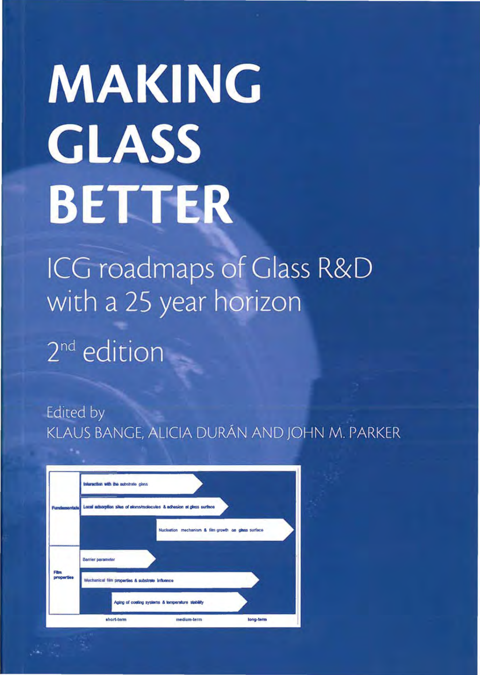# **MAKING GLASS BETTER**

ICG roadmaps of Glass R&D with a 25 year horizon 2<sup>nd</sup> edition

Edited by KLAUS BANGE, ALICIA DURÁN AND JOHN M. PARKER

| Fundamentals       | Inforaction with the substrate glass                                  |
|--------------------|-----------------------------------------------------------------------|
|                    | Local adsorption sites of atoms/molecules & adhesion at glass surface |
|                    | Nucleation mechanism & film growth on glass surface                   |
|                    | <b>Barrier parameter</b>                                              |
| Film<br>properties | Mechanical film properties & substrate influence                      |
|                    | Aging of costing systems & temperature stability                      |
|                    | short-term<br>medium-term<br>long-term                                |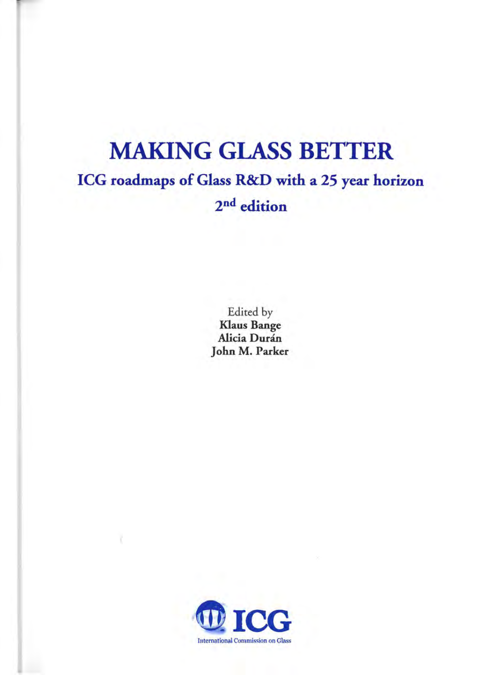## MAKING GLASS BETTER ICG roadmaps of Glass R&D with a 25 year horizon 2nd edition

Edited by Klaus Bange Alicia Durán John M. Parker

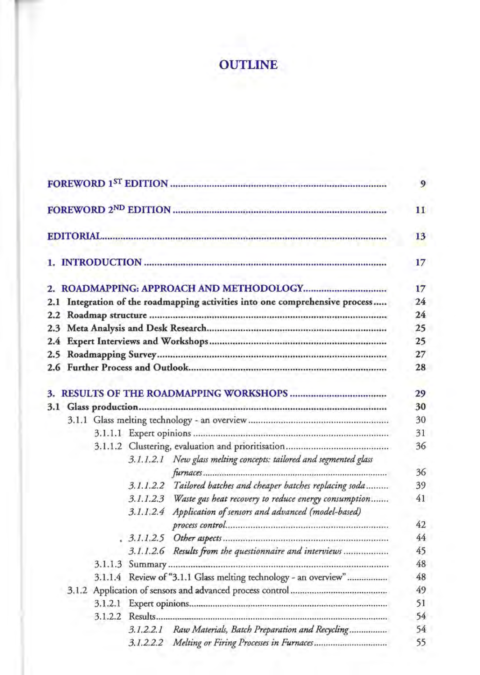### **OUTLINE**

|  |                                                                              | 9  |
|--|------------------------------------------------------------------------------|----|
|  |                                                                              | 11 |
|  |                                                                              | 13 |
|  |                                                                              | 17 |
|  |                                                                              | 17 |
|  | 2.1 Integration of the roadmapping activities into one comprehensive process | 24 |
|  |                                                                              | 24 |
|  |                                                                              | 25 |
|  |                                                                              | 25 |
|  |                                                                              | 27 |
|  |                                                                              | 28 |
|  |                                                                              | 29 |
|  |                                                                              | 30 |
|  |                                                                              | 30 |
|  |                                                                              | 31 |
|  |                                                                              | 36 |
|  | 3.1.1.2.1 New glass melting concepts: tailored and segmented glass           |    |
|  |                                                                              | 36 |
|  | 3.1.1.2.2 Tailored batches and cheaper batches replacing soda                | 39 |
|  | 3.1.1.2.3 Waste gas heat recovery to reduce energy consumption               | 41 |
|  | 3.1.1.2.4 Application of sensors and advanced (model-based)                  |    |
|  |                                                                              | 42 |
|  |                                                                              | 44 |
|  | 3.1.1.2.6 Results from the questionnaire and interviews                      | 45 |
|  |                                                                              | 48 |
|  | 3.1.1.4 Review of "3.1.1 Glass melting technology - an overview"             | 48 |
|  |                                                                              | 49 |
|  |                                                                              | 51 |
|  |                                                                              | 54 |
|  | 3.1.2.2.1 Raw Materials, Batch Preparation and Recycling                     | 54 |
|  | 3.1.2.2.2 Melting or Firing Processes in Furnaces                            | 55 |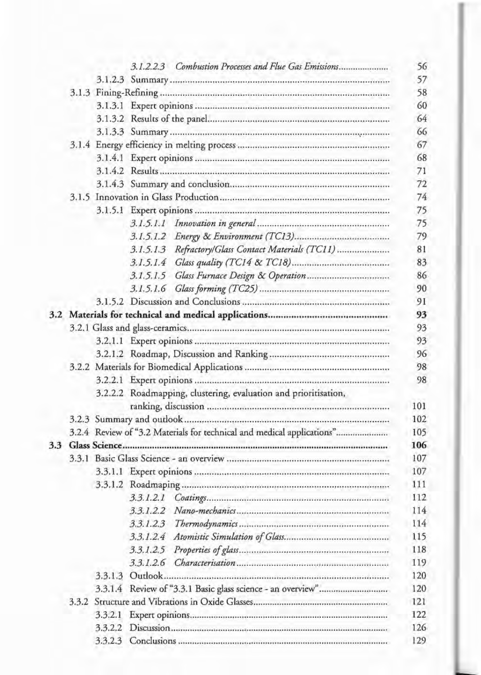|               |         | 3.1.2.2.3                                                              |     |
|---------------|---------|------------------------------------------------------------------------|-----|
|               |         |                                                                        |     |
|               |         |                                                                        |     |
|               |         |                                                                        |     |
|               |         |                                                                        |     |
|               |         |                                                                        |     |
|               |         |                                                                        |     |
|               |         |                                                                        |     |
|               |         |                                                                        |     |
|               |         |                                                                        |     |
|               |         |                                                                        |     |
|               |         |                                                                        |     |
|               |         | 3.1.5.1.1                                                              |     |
|               |         |                                                                        |     |
|               |         | 3.1.5.1.3 Refractory/Glass Contact Materials (TC11)                    |     |
|               |         |                                                                        |     |
|               |         |                                                                        |     |
|               |         |                                                                        |     |
|               |         | 3.1.5.1.6                                                              |     |
|               |         |                                                                        |     |
|               |         |                                                                        |     |
|               |         |                                                                        |     |
|               |         |                                                                        |     |
|               |         |                                                                        |     |
|               |         |                                                                        |     |
|               |         |                                                                        |     |
|               |         | 3.2.2.2 Roadmapping, clustering, evaluation and prioritisation,        |     |
|               |         |                                                                        | 101 |
|               |         |                                                                        | 102 |
|               |         | 3.2.4 Review of "3.2 Materials for technical and medical applications" | 105 |
| $3.3^{\circ}$ |         |                                                                        | 106 |
|               |         |                                                                        | 107 |
|               |         |                                                                        | 107 |
|               |         |                                                                        | 111 |
|               |         | 3.3.1.2.1                                                              | 112 |
|               |         | 3.3.1.2.2                                                              | 114 |
|               |         | 3.3.1.2.3                                                              | 114 |
|               |         |                                                                        | 115 |
|               |         |                                                                        | 118 |
|               |         |                                                                        |     |
|               |         |                                                                        | 119 |
|               |         |                                                                        | 120 |
|               |         |                                                                        | 120 |
|               | 3.3.2   |                                                                        | 121 |
|               | 3.3.2.1 |                                                                        | 122 |
|               | 3.3.2.2 |                                                                        | 126 |
|               |         |                                                                        | 129 |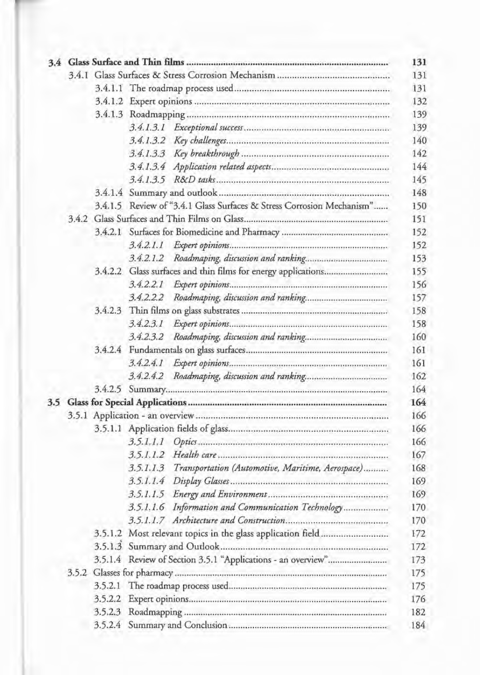|  |  |         | 3.4.1.5 Review of "3.4.1 Glass Surfaces & Stress Corrosion Mechanism" |  |  |  |
|--|--|---------|-----------------------------------------------------------------------|--|--|--|
|  |  |         |                                                                       |  |  |  |
|  |  |         |                                                                       |  |  |  |
|  |  |         | 3.4.2.1.1                                                             |  |  |  |
|  |  |         | 3.4.2.1.2                                                             |  |  |  |
|  |  |         |                                                                       |  |  |  |
|  |  |         |                                                                       |  |  |  |
|  |  |         |                                                                       |  |  |  |
|  |  |         |                                                                       |  |  |  |
|  |  |         |                                                                       |  |  |  |
|  |  |         |                                                                       |  |  |  |
|  |  |         |                                                                       |  |  |  |
|  |  |         |                                                                       |  |  |  |
|  |  |         |                                                                       |  |  |  |
|  |  |         |                                                                       |  |  |  |
|  |  |         |                                                                       |  |  |  |
|  |  |         |                                                                       |  |  |  |
|  |  |         |                                                                       |  |  |  |
|  |  |         |                                                                       |  |  |  |
|  |  |         |                                                                       |  |  |  |
|  |  |         | Transportation (Automotive, Maritime, Aerospace)<br>3.5.1.1.3         |  |  |  |
|  |  |         |                                                                       |  |  |  |
|  |  |         |                                                                       |  |  |  |
|  |  |         | 3.5.1.1.6 Information and Communication Technology                    |  |  |  |
|  |  |         |                                                                       |  |  |  |
|  |  |         | 3.5.1.2 Most relevant topics in the glass application field           |  |  |  |
|  |  |         |                                                                       |  |  |  |
|  |  |         |                                                                       |  |  |  |
|  |  |         |                                                                       |  |  |  |
|  |  |         |                                                                       |  |  |  |
|  |  | 3.5.2.2 |                                                                       |  |  |  |
|  |  |         |                                                                       |  |  |  |
|  |  |         |                                                                       |  |  |  |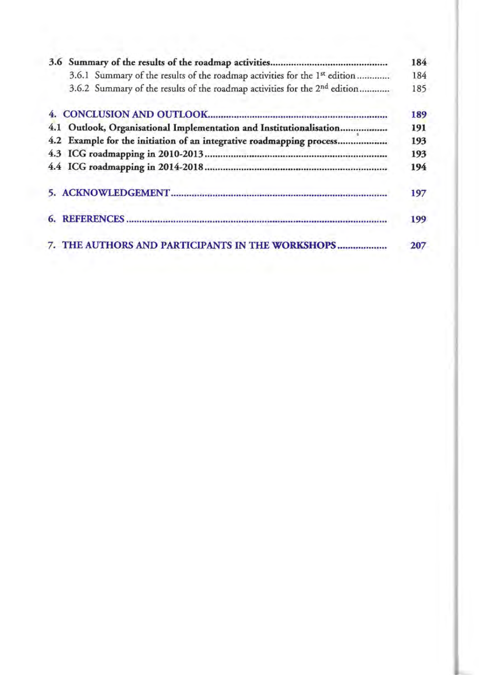|     | 3.6.1 Summary of the results of the roadmap activities for the 1 <sup>st</sup> edition |
|-----|----------------------------------------------------------------------------------------|
|     | 3.6.2 Summary of the results of the roadmap activities for the 2 <sup>nd</sup> edition |
|     |                                                                                        |
| 4.1 | Outlook, Organisational Implementation and Institutionalisation                        |
|     | 4.2 Example for the initiation of an integrative roadmapping process                   |
|     |                                                                                        |
|     |                                                                                        |
|     |                                                                                        |
|     |                                                                                        |
|     | 7. THE AUTHORS AND PARTICIPANTS IN THE WORKSHOPS                                       |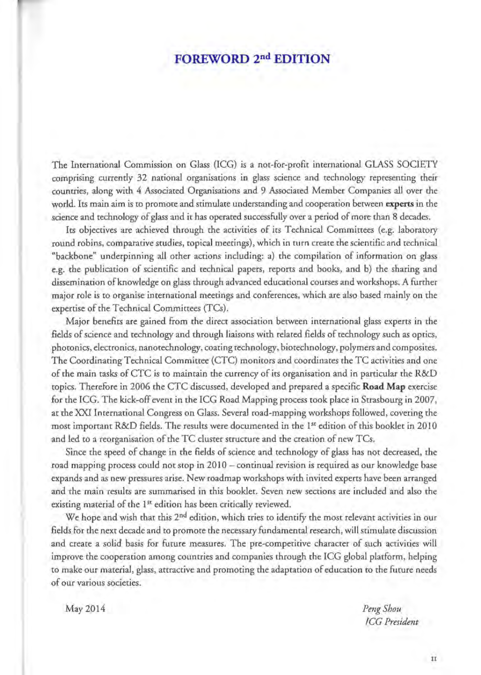#### **FOREWORD 2nd EDITION**

The International Commission on Glass (ICG) is a not-for-profit international GLASS SOCIETY comprising currently 32 national organisations in glass science and technology representing their countries, along with 4 Associared Organisations and 9 Associated Member Companies all over the world. Its main aim is ro promote and stimulate undersranding and cooperation between **experts** in the science and technology of glass and it has operared successfully over a period of more than 8 decades.

Its objectives are achieved through rhe activities of its Technical Committees (e.g. Iabaratory round robins, comparative studies, ropical meetings), which in turn create rhe scientific and technical "backbone" underpinning all orher actions including: a) the compilation of information on glass e.g. the publication of scientific and technical papers, reports and books, and b) the sharing and dissemination of knowledge on glass through advanced educational courses and workshops. A further major role is to organise international meetings and conferences, which are also based mainly on the expertise of the Technical Committees (TCs).

Major benefits are gained from the direct associarion between international glass experts in the fields of science and technology and through Iiaisons with related fields of technology such as optics, photonics, electronics, nanotechnology, coating technology, biotechnology, polymers and composites. The Coordinating Technical Committee (CTC) monirors and coordinates the TC activities and one of the main tasks of CTC is ro maintain the currency of its organisation and in particular the R&D topics. Therefore in 2006 the CTC discussed, developed and prepared a specific **Road Map** exercise for the ICG. The kick-off event in the ICG Road Mapping process rook place in Strasbourg in 2007, at the XXI International Congress on Glass. Several road-mapping workshops followed, covering the most important R&D fields. The results were documented in the 1<sup>st</sup> edition of this booklet in 2010 and led ro a reorganisation of the TC duster structure and the creation of new TCs.

Since the speed of change in the fields of science and technology of glass has not decreased, the road mapping process could not stop in 2010- continual revision is required as our knowledge base expands and as new pressures arise. New roadmap workshops with invited experts have been arranged and the main results are summarised in this booklet. Seven new sections are included and also the existing material of the 1<sup>st</sup> edition has been critically reviewed.

We hope and wish that this 2<sup>nd</sup> edition, which tries to identify the most relevant activities in our fields for the next decade and to promote the necessary fundamental research, will stimulate discussion and create a solid basis for furure measures. The pre-competitive character of such activities will improve the cooperarion among countries and companies through the ICG global platform, helping to make our material, glass, attractive and promoting the adaptation of education to rhe furure needs of our various societies.

May 2014 *PengShou* 

*!CG President* 

II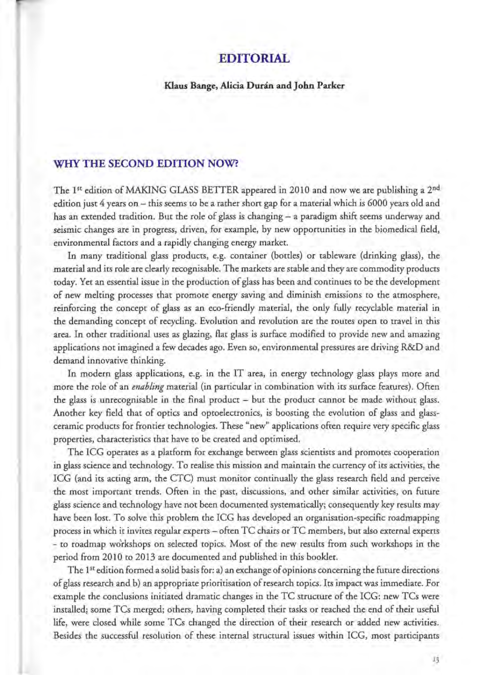#### **EDITORIAL**

#### **Klaus Bange, Alicia Duran andJohn Parker**

#### **WHY THE SECOND EDITION NOW?**

The 1<sup>st</sup> edition of MAKING GLASS BETTER appeared in 2010 and now we are publishing a 2<sup>nd</sup> edition just 4 years on - this seems to be a rather short gap for a material which is 6000 years old and has an extended tradition. But the role of glass is changing - a paradigm shift seems underway and seismic changes are in progress, driven, for example, by new opportunities in the biomedical field, environmental factors and a rapidly changing energy market.

In many traditional glass products, e.g. container (bottles) or tableware (drinking glass), the material and its role are clearly recognisable. The markets are stable and they are commodity products today. Yet an essential issue in the production of glass has been and continues tobe the development of new melting processes that promote energy saving and diminish emissions to the atmosphere, reinforcing the concept of glass as an eco-friendly material, the only fully recyclable material in the demanding concept of recycling. Evolution and revolution are the routes open to travel in this area. In other traditional uses as glazing, flat glass is surface modified to provide new and amazing applications not imagined a few decades ago. Even so, environmental pressures are driving R&D and demand innovative thinking.

In modern glass applications, e.g. in the IT area, in energy technology glass plays more and more the role of an *enabling* material (in particular in combination with its surface features). Often the glass is unrecognisable in the final product - but the product cannot *be* made wichout glass. Another key field that of optics and optoelectronics, is boosting the evolution of glass and glassceramic products for frontier technologies. These "new" applications often require very specific glass properties, characteristics that have to be created and optimised.

The ICG operates as a platform for exchange between glass scientists and promotes cooperation in glass science and technology. To realise this mission and maintain the currency of its activities, the ICG (and its acting arm, the CTC) must monitor continually the glass research field and perceive the most important trends. Often in the past, discussions, and other similar activities, on future glass science and technology have not been documented systematically; consequently key results may have been lost. To solve this problern the ICG has developed an organisation-specific roadmapping process in which it invites regular experts - often TC chairs or TC members, but also external experts - to roadmap workshops on selected topics. Most of the new results from such workshops in the period from 2010 to 2013 are documented and published in this booklet.

The 1<sup>st</sup> edition formed a solid basis for: a) an exchange of opinions concerning the future directions of glass research and b) an appropriate prioritisation of research topics. Its impactwas immediate. For example the conclusions initiated dramatic changes in the TC structure of the ICG: new TCs were installed; some TCs merged; others, having completed their tasks or reached the end of their useful life, were closed while some TCs changed the direction of their research or added new activities. Besides the successful resolution of these internal structural issues wirhin ICG, most participants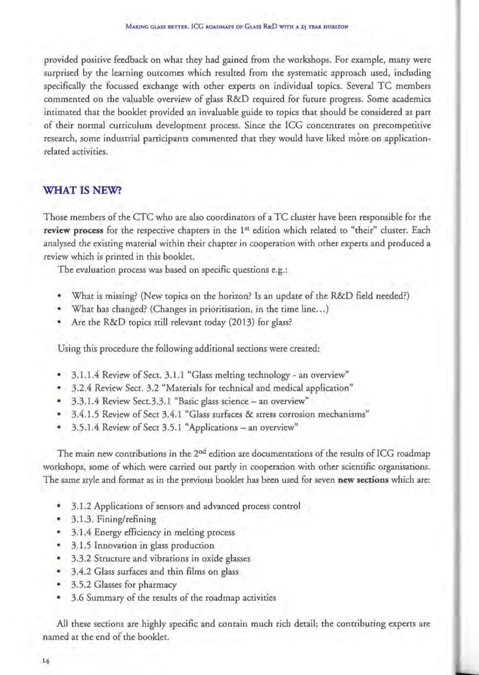provided positive feedback on what they had gained from the workshops. For example, many were surprised by the learning outcomes which resulted from the systematic approach used, induding specifically the focussed exchange with other experts on individual topics. Several TC members commented on the valuable overview of glass R&D required for future progress. Some academics intimared that the booklet provided an invaluable guide to topics that should be considered as part of their normal curriculum development process. Since the ICG concentrates on precompetitive research, some industrial participants commented that they would have liked more on applicationrelated activities.

#### **WHAT IS NEW?**

Those members of the CTC who are also coordinators of a TC duster have been responsible for the **review process** for the respective chapters in the **151** edition which related to "their" duster. Each analysed the existing material within their chapter in cooperation with other experts and produced a review which is printed in this booklet.

The evaluation process was based on specific questions e.g.:

- What is missing? (New topics on the horizon? Is an update of the R&D field needed?)
- What has changed? (Changes in prioritisation, in the time line...)
- Are the R&D topics still relevant today (2013) for glass?

Using this procedure the following additional sections were created:

- 3.1.1.4 Review of Sect. 3.1.1 "Glass melting technology an overview"
- 3.2.4 Review Sect. 3.2 "Materials for technical and medical application"
- 3.3.1.4 Review Sect.3.3.1 "Basic glass science- an overview"
- 3.4.1.5 Review of Sect 3.4.1 "Glass surfaces & stress corrosion mechanisms"
- 3.5.1.4 Review of Sect 3.5.1 "Applications- an overview"

The main new contributions in the  $2<sup>nd</sup>$  edition are documentations of the results of ICG roadmap workshops, some of which were carried out partly in cooperation with other scientific organisations. The same style and format as in the previous booklet has been used for seven **new sections** which are:

- 3.1.2 Applications of sensors and advanced process control
- 3.1.3. Fining/refining
- 3.1.4 Energy efficiency in melting process
- **3.1.5 Innovation in glass production**
- 3.3.2 Structure and vibrations in oxide glasses
- 3.4.2 Glass surfaces and thin films on glass
- \* 3.5.2 Glasses for pharmacy
- 3.6 Summary of the results of the roadmap activities

All these sections are highly specific and contain much rich detail; the contributing experts are named at the end of the booklet.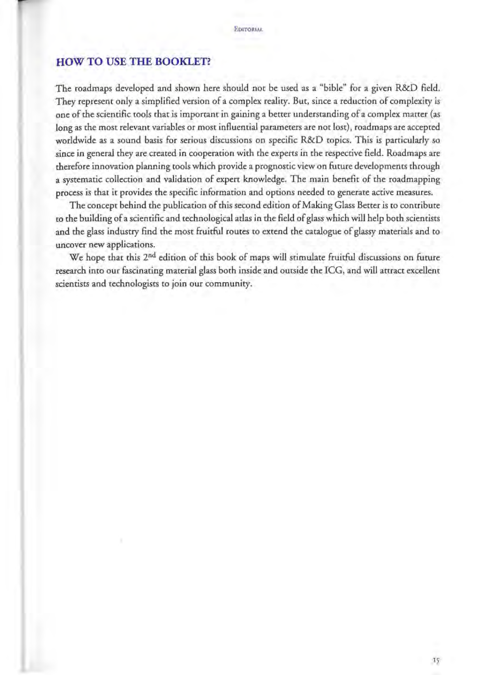#### **HOW TO USE THE BOOKLET?**

The roadmaps developed and shown here should not be used as a "bible" for a given R&D field. They represent only a simplified version of a complex reality. But, since a reduction of complexity is one of the scientific tools that is important in gaining a better understanding of a complex matter (as long as the most relevant variables or most influential parameters are not lost), roadmaps are accepted worldwide as a sound basis for serious discussions on specific R&D topics. This is particularly *so*  since in general they are created in cooperation with the experts in the respective field. Roadmaps are therefore innovation planning tools which provide a prognostic view on future developments through a systematic collection and validation of expert knowledge. The main benefit of the roadmapping process is that it provides the specific information and options needed to generate active measures.

The concept behind the publication of this second edition of Making Glass Better is to concribute to the building of a scientific and technological aclas in the field of glass which will help both scientists and the glass industry find the most fruitful routes to extend the catalogue of glassy materials and to uncover new applications.

We hope that this 2<sup>nd</sup> edition of this book of maps will stimulate fruitful discussions on future research into our fascinating material glass both inside and outside the ICG, and will attract excellent scientists and technologists to join our community.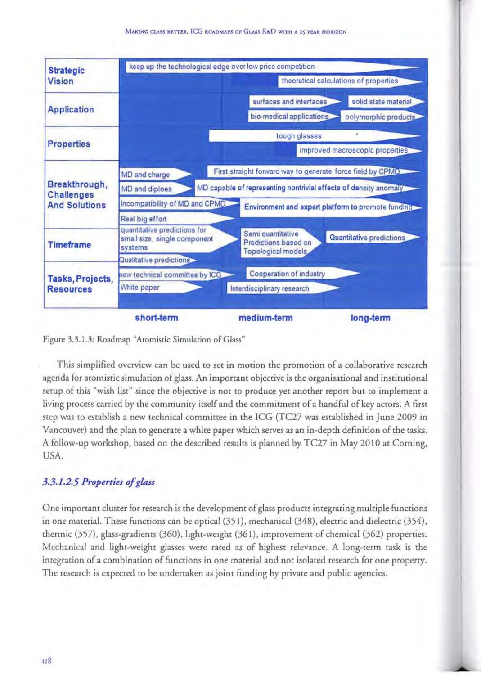

Figure 3.3. I .3: Roadmap "Aromistic Simulation of Glass"

This simplified overview can be used to set in motion the promotion of a collaborative research agenda for aromistic simulation of glass. An important objective is the organisational and institutional setup of this "wish Iist" since the objective is not to produce yet another report but to implement a living process carried by the community itself and the commitment of a handful of key actors. A first step was to establish a new technical committee in the ICG (TC27 was established in June 2009 in Vancouver) and the plan to generate a white paper which serves as an in-depth definition of the tasks. A follow-up workshop, based on the described results is planned by TC27 in May 2010 at Corning, USA.

#### *3.3. 1.2.5 Properties of glass*

One important duster for research is the development of glass products integrating multiple functions in one material. These functions can be optical (351), mechanical (348), electric and dielectric (354), thermic (357), glass-gradients (360), light-weight (361), improvement of chemical (362) propercies. Mechanical and light-weight glasses were rated as of highest relevance. A long-term task is the integration of a combination of functions in one material and not isolated research for one property. The research is expected to be undertaken as joint funding by private and public agencies.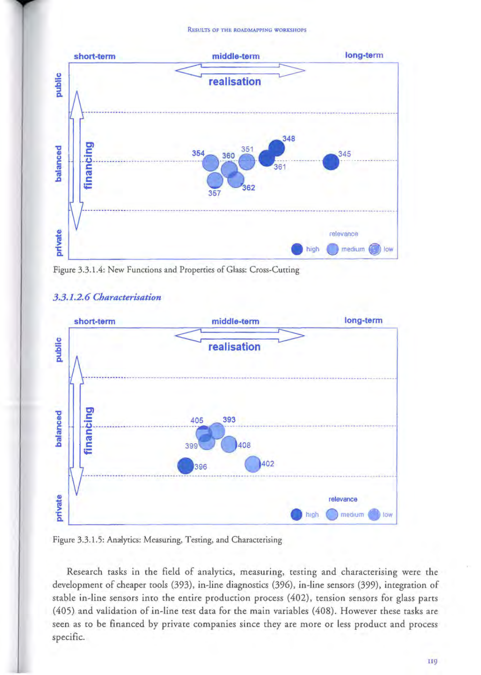**ReSULTS OF THE ROADMAPPING WORKSHOPS** 



Figure 3.3.1.4: New Functions and Propereies of Glass: Cross-Cutting

#### *3.3.1.2. 6 Characterisation*



Figure 3.3.1.5: Analytics: Measuring, Testing, and Characterising

Research tasks in the field of analytics, measuring, testing and characterising were the development of eheaper tools (393), in-line diagnostics (396), in-line sensors (399), integration of stable in-line sensors into the entire production process (402), tension sensors for glass parts (405) and validation of in-line test data for the main variables (408). However these tasks are seen as to be financed by private companies since they are more or less product and process specific.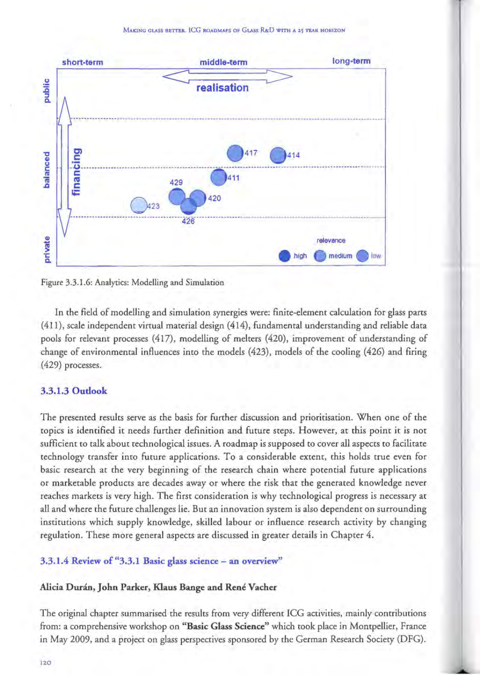

Figure 3.3.1.6: Analytics: Modelling and Simulation

In the field of modelling and simulation synergies were: finite-element calculation for glass parts (411), scale independent virtual material design (414), fundamental understanding and reliable data pools for relevant processes (417), modelling of melters (420), improvement of understanding of change of environmental influences into the models (423), models of the cooling (426) and firing (429) processes.

#### **3.3.1.3 Outlook**

The presented results serve as the basis for further discussion and prioritisation. When one of the topics is identified it needs further definition and future steps. However, at this point it is not sufficient to talk about technological issues. A roadmap is supposed to cover all aspects to facilitate technology transfer into future applications. To a considerable extent, this holds true even for basic research at the very beginning of the research chain where potential future applications or marketable products are decades away or where the risk that the generated knowledge never reaches markets is very high. The first consideration is why technological progress is necessary at all and where the future challenges lie. But an innovation system is also dependent on surrounding institutions which supply knowledge, skilled labour or influence research activity by changing regulation. These more general aspects are discussed in greater details in Chapter 4.

#### 3.3.1.4 Review of "3.3.1 Basic glass science - an overview"

#### Alicia Durán, John Parker, Klaus Bange and René Vacher

The original chapter summarised the results from very different ICG activities, mainly contributions from: a comprehensive workshop on "Basic Glass Science" which took place in Montpellier, France in May 2009, and a project on glass perspectives sponsored by the German Research Society (DFG).